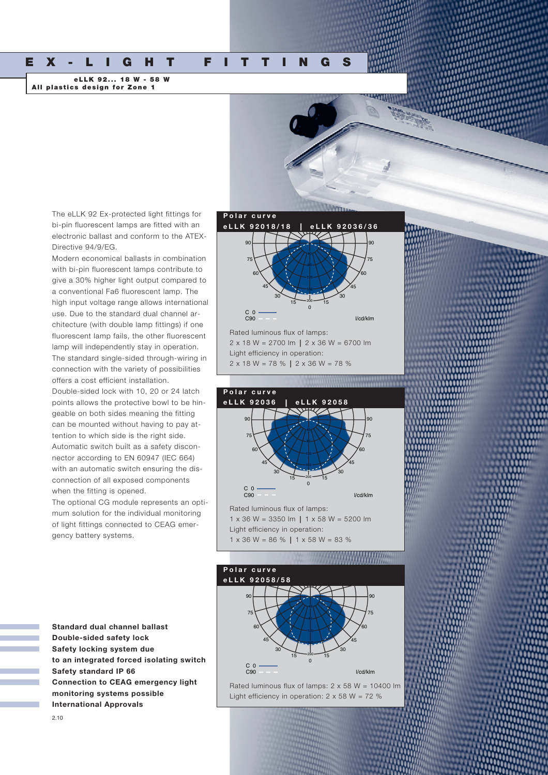## **EX-LIGHT FITTINGS**

**Polar curve** 

**eLLK 92... 18 W - 58 W All plastics design for Zone 1**

> The eLLK 92 Ex-protected light fittings for bi-pin fluorescent lamps are fitted with an electronic ballast and conform to the ATEX-Directive 94/9/EG.

Modern economical ballasts in combination with bi-pin fluorescent lamps contribute to give a 30% higher light output compared to a conventional Fa6 fluorescent lamp. The high input voltage range allows international use. Due to the standard dual channel architecture (with double lamp fittings) if one fluorescent lamp fails, the other fluorescent lamp will independently stay in operation. The standard single-sided through-wiring in connection with the variety of possibilities offers a cost efficient installation. Double-sided lock with 10, 20 or 24 latch points allows the protective bowl to be hingeable on both sides meaning the fitting can be mounted without having to pay attention to which side is the right side. Automatic switch built as a safety discon-

nector according to EN 60947 (IEC 664) with an automatic switch ensuring the disconnection of all exposed components when the fitting is opened. The optional CG module represents an opti-

mum solution for the individual monitoring of light fittings connected to CEAG emergency battery systems.

**Standard dual channel ballast Double-sided safety lock Safety locking system due to an integrated forced isolating switch Safety standard IP 66 Connection to CEAG emergency light monitoring systems possible International Approvals**



Rated luminous flux of lamps:  $2 \times 58$  W = 10400 lm Light efficiency in operation:  $2 \times 58$  W = 72 %

2.10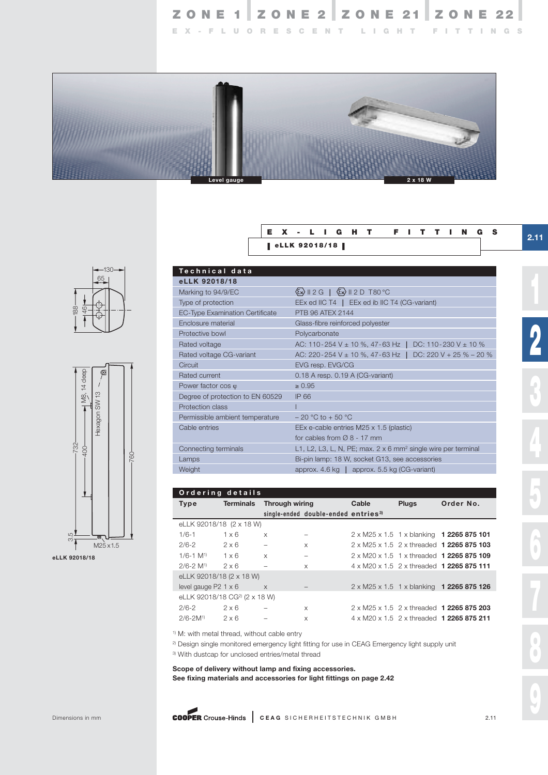**ZONE 1 ZONE 2 Z O N E 21 Z O N E 22 EX-FLUORESCENT LIGHT FITTINGS**



## **EX-LIGHT FITTINGS 2.11 I eLLK 92018/18 I**





**eLLK 92018/18**

| Technical data                         |                                                                                  |
|----------------------------------------|----------------------------------------------------------------------------------|
| eLLK 92018/18                          |                                                                                  |
| Marking to 94/9/EC                     | $\langle x \rangle$    2 G   $\langle x \rangle$    2 D T80 °C                   |
| Type of protection                     | EEx ed IIC T4   EEx ed ib IIC T4 (CG-variant)                                    |
| <b>EC-Type Examination Certificate</b> | <b>PTB 96 ATEX 2144</b>                                                          |
| Enclosure material                     | Glass-fibre reinforced polyester                                                 |
| Protective bowl                        | Polycarbonate                                                                    |
| Rated voltage                          | AC: 110-254 V $\pm$ 10 %, 47-63 Hz   DC: 110-230 V $\pm$ 10 %                    |
| Rated voltage CG-variant               | AC: 220 - 254 V $\pm$ 10 %, 47 - 63 Hz  <br>DC: 220 V + 25 % - 20 %              |
| Circuit                                | EVG resp. EVG/CG                                                                 |
| Rated current                          | 0.18 A resp. 0.19 A (CG-variant)                                                 |
| Power factor $\cos \varphi$            | $\geq 0.95$                                                                      |
| Degree of protection to EN 60529       | IP 66                                                                            |
| Protection class                       |                                                                                  |
| Permissible ambient temperature        | $-20$ °C to $+50$ °C                                                             |
| Cable entries                          | EEx e-cable entries M25 x 1.5 (plastic)                                          |
|                                        | for cables from $\varnothing$ 8 - 17 mm                                          |
| Connecting terminals                   | L1, L2, L3, L, N, PE; max. $2 \times 6$ mm <sup>2</sup> single wire per terminal |
| Lamps                                  | Bi-pin lamp: 18 W, socket G13, see accessories                                   |
| Weight                                 | approx. $4.6 \text{ kg}$   approx. $5.5 \text{ kg}$ (CG-variant)                 |

| Ordering details                         |              |                       |                                                 |       |           |                                           |  |  |  |
|------------------------------------------|--------------|-----------------------|-------------------------------------------------|-------|-----------|-------------------------------------------|--|--|--|
| Type                                     | Terminals    | <b>Through wiring</b> |                                                 | Cable | Order No. |                                           |  |  |  |
|                                          |              |                       | single-ended double-ended entries <sup>3)</sup> |       |           |                                           |  |  |  |
| eLLK 92018/18 (2 x 18 W)                 |              |                       |                                                 |       |           |                                           |  |  |  |
| $1/6 - 1$                                | $1 \times 6$ | X                     |                                                 |       |           | 2 x M25 x 1.5 1 x blanking 1 2265 875 101 |  |  |  |
| $2/6 - 2$                                | $2 \times 6$ | -                     | X                                               |       |           | 2 x M25 x 1.5 2 x threaded 1 2265 875 103 |  |  |  |
| $1/6 - 1$ M <sup>1)</sup>                | $1 \times 6$ | $\times$              |                                                 |       |           | 2 x M20 x 1.5 1 x threaded 1 2265 875 109 |  |  |  |
| $2/6 - 2 M^{1}$                          | $2 \times 6$ |                       | X                                               |       |           | 4 x M20 x 1.5 2 x threaded 1 2265 875 111 |  |  |  |
| eLLK 92018/18 (2 x 18 W)                 |              |                       |                                                 |       |           |                                           |  |  |  |
| level gauge $P2 \ 1 \times 6$            |              | $\times$              |                                                 |       |           | 2 x M25 x 1.5 1 x blanking 1 2265 875 126 |  |  |  |
| eLLK 92018/18 CG <sup>2</sup> (2 x 18 W) |              |                       |                                                 |       |           |                                           |  |  |  |
| $2/6 - 2$                                | $2 \times 6$ |                       | X                                               |       |           | 2 x M25 x 1.5 2 x threaded 1 2265 875 203 |  |  |  |
| $2/6 - 2M^{1}$                           | $2 \times 6$ |                       | X                                               |       |           | 4 x M20 x 1.5 2 x threaded 1 2265 875 211 |  |  |  |

1) M: with metal thread, without cable entry

<sup>2)</sup> Design single monitored emergency light fitting for use in CEAG Emergency light supply unit

3) With dustcap for unclosed entries/metal thread

**Scope of delivery without lamp and fixing accessories.** 

**See fixing materials and accessories for light fittings on page 2.42**